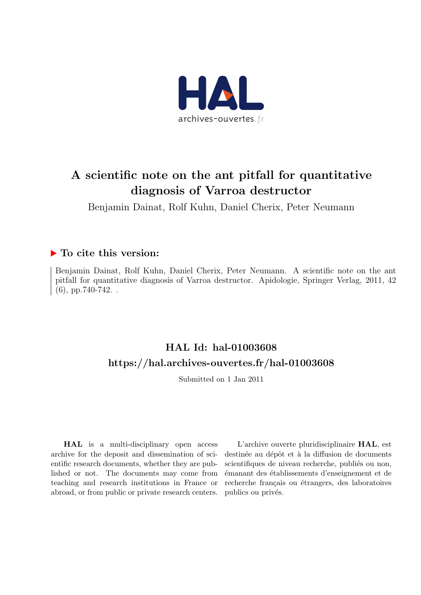

# A scientific note on the ant pitfall for quantitative diagnosis of Varroa destructor

Benjamin Dainat, Rolf Kuhn, Daniel Cherix, Peter Neumann

## ▶ To cite this version:

Benjamin Dainat, Rolf Kuhn, Daniel Cherix, Peter Neumann. A scientific note on the ant pitfall for quantitative diagnosis of Varroa destructor. Apidologie, Springer Verlag, 2011, 42 (6), pp.740-742. .

## HAL Id: hal-01003608 <https://hal.archives-ouvertes.fr/hal-01003608>

Submitted on 1 Jan 2011

HAL is a multi-disciplinary open access archive for the deposit and dissemination of scientific research documents, whether they are published or not. The documents may come from teaching and research institutions in France or abroad, or from public or private research centers.

L'archive ouverte pluridisciplinaire HAL, est destinée au dépôt et à la diffusion de documents scientifiques de niveau recherche, publiés ou non, ´emanant des ´etablissements d'enseignement et de recherche français ou étrangers, des laboratoires publics ou privés.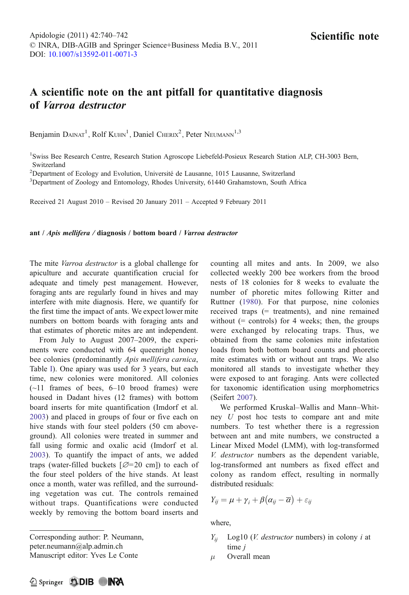## A scientific note on the ant pitfall for quantitative diagnosis of Varroa destructor

Benjamin DAINAT<sup>1</sup>, Rolf KUHN<sup>1</sup>, Daniel CHERIX<sup>2</sup>, Peter NEUMANN<sup>1,3</sup>

<sup>1</sup>Swiss Bee Research Centre, Research Station Agroscope Liebefeld-Posieux Research Station ALP, CH-3003 Bern, Switzerland

2 Department of Ecology and Evolution, Université de Lausanne, 1015 Lausanne, Switzerland

<sup>3</sup>Department of Zoology and Entomology, Rhodes University, 61440 Grahamstown, South Africa

Received 21 August 2010 – Revised 20 January 2011 – Accepted 9 February 2011

#### ant / Apis mellifera / diagnosis / bottom board / Varroa destructor

The mite *Varroa destructor* is a global challenge for apiculture and accurate quantification crucial for adequate and timely pest management. However, foraging ants are regularly found in hives and may interfere with mite diagnosis. Here, we quantify for the first time the impact of ants. We expect lower mite numbers on bottom boards with foraging ants and that estimates of phoretic mites are ant independent.

From July to August 2007–2009, the experiments were conducted with 64 queenright honey bee colonies (predominantly Apis mellifera carnica, Table I). One apiary was used for 3 years, but each time, new colonies were monitored. All colonies  $(-11)$  frames of bees,  $6-10$  brood frames) were housed in Dadant hives (12 frames) with bottom board inserts for mite quantification (Imdorf et al. 2003) and placed in groups of four or five each on hive stands with four steel polders (50 cm aboveground). All colonies were treated in summer and fall using formic and oxalic acid (Imdorf et al. 2003). To quantify the impact of ants, we added traps (water-filled buckets  $[Ø=20$  cm]) to each of the four steel polders of the hive stands. At least once a month, water was refilled, and the surrounding vegetation was cut. The controls remained without traps. Quantifications were conducted weekly by removing the bottom board inserts and

Corresponding author: P. Neumann, peter.neumann@alp.admin.ch Manuscript editor: Yves Le Conte

counting all mites and ants. In 2009, we also collected weekly 200 bee workers from the brood nests of 18 colonies for 8 weeks to evaluate the number of phoretic mites following Ritter and Ruttner (1980). For that purpose, nine colonies received traps (= treatments), and nine remained without  $(=$  controls) for 4 weeks; then, the groups were exchanged by relocating traps. Thus, we obtained from the same colonies mite infestation loads from both bottom board counts and phoretic mite estimates with or without ant traps. We also monitored all stands to investigate whether they were exposed to ant foraging. Ants were collected for taxonomic identification using morphometrics (Seifert 2007).

We performed Kruskal–Wallis and Mann–Whitney U post hoc tests to compare ant and mite numbers. To test whether there is a regression between ant and mite numbers, we constructed a Linear Mixed Model (LMM), with log-transformed V. destructor numbers as the dependent variable, log-transformed ant numbers as fixed effect and colony as random effect, resulting in normally distributed residuals:

$$
Y_{ij} = \mu + \gamma_i + \beta(\alpha_{ij} - \overline{\alpha}) + \varepsilon_{ij}
$$

where,

- $Y_{ii}$  Log10 (*V. destructor* numbers) in colony *i* at time *i*
- $\mu$  Overall mean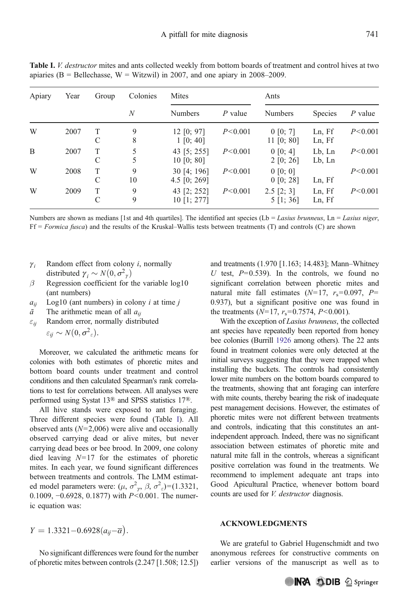| Apiary | Year | Group  | Colonies<br>N | Mites                         |           | Ants                           |                       |           |
|--------|------|--------|---------------|-------------------------------|-----------|--------------------------------|-----------------------|-----------|
|        |      |        |               | <b>Numbers</b>                | $P$ value | <b>Numbers</b>                 | <b>Species</b>        | $P$ value |
| W      | 2007 | Τ<br>C | 9<br>8        | 12 [0; 97]<br>$1\, [0; 40]$   | P < 0.001 | 0 [0; 7]<br>11 [0; 80]         | Ln, Ff<br>Ln, Ff      | P < 0.001 |
| B      | 2007 | Т<br>C | 5<br>5        | 43 [5; 255]<br>10 [0; 80]     | P < 0.001 | $0\ [0; 4]$<br>2 [0; 26]       | $Lb$ , $Ln$<br>Lb, Ln | P < 0.001 |
| W      | 2008 | T<br>C | 9<br>10       | 30 [4; 196]<br>4.5 $[0; 269]$ | P < 0.001 | 0 [0; 0]<br>$0$ [0; 28]        | Ln, Ff                | P < 0.001 |
| W      | 2009 | T<br>C | 9<br>9        | 43 [2; 252]<br>$10$ [1; 277]  | P < 0.001 | $2.5$ [2; 3]<br>$5 \; [1; 36]$ | Ln, Ff<br>Ln, Ff      | P < 0.001 |

Table I. V. destructor mites and ants collected weekly from bottom boards of treatment and control hives at two apiaries ( $B =$  Bellechasse,  $W =$  Witzwil) in 2007, and one apiary in 2008–2009.

Numbers are shown as medians [1st and 4th quartiles]. The identified ant species (Lb = Lasius brunneus, Ln = Lasius niger, Ff = Formica fusca) and the results of the Kruskal–Wallis tests between treatments (T) and controls (C) are shown

- $\gamma_i$  Random effect from colony *i*, normally distributed  $\gamma_i \sim N(0, \sigma_{\gamma}^2)$
- $\beta$  Regression coefficient for the variable log10 (ant numbers)
- $a_{ii}$  Log10 (ant numbers) in colony *i* at time *j*
- $\bar{a}$  The arithmetic mean of all  $a_{ii}$
- $\varepsilon_{ii}$  Random error, normally distributed

 $\varepsilon_{ii} \sim N(0, \sigma^2_{\varepsilon}).$ 

Moreover, we calculated the arithmetic means for colonies with both estimates of phoretic mites and bottom board counts under treatment and control conditions and then calculated Spearman's rank correlations to test for correlations between. All analyses were performed using Systat 13® and SPSS statistics 17®.

All hive stands were exposed to ant foraging. Three different species were found (Table I). All observed ants  $(N=2,006)$  were alive and occasionally observed carrying dead or alive mites, but never carrying dead bees or bee brood. In 2009, one colony died leaving  $N=17$  for the estimates of phoretic mites. In each year, we found significant differences between treatments and controls. The LMM estimated model parameters were:  $(\mu, \sigma^2, \beta, \sigma^2) = (1.3321, 0.1000, -0.6028, 0.1877)$  with  $P \le 0.001$ . The numer 0.1009, −0.6928, 0.1877) with P<0.001. The numeric equation was:

and treatments (1.970 [1.163; 14.483]; Mann–Whitney U test,  $P=0.539$ ). In the controls, we found no significant correlation between phoretic mites and natural mite fall estimates  $(N=17, r_s=0.097, P=$ 0.937), but a significant positive one was found in the treatments  $(N=17, r_s=0.7574, P<0.001)$ .

With the exception of Lasius brunneus, the collected ant species have repeatedly been reported from honey bee colonies (Burrill 1926 among others). The 22 ants found in treatment colonies were only detected at the initial surveys suggesting that they were trapped when installing the buckets. The controls had consistently lower mite numbers on the bottom boards compared to the treatments, showing that ant foraging can interfere with mite counts, thereby bearing the risk of inadequate pest management decisions. However, the estimates of phoretic mites were not different between treatments and controls, indicating that this constitutes an antindependent approach. Indeed, there was no significant association between estimates of phoretic mite and natural mite fall in the controls, whereas a significant positive correlation was found in the treatments. We recommend to implement adequate ant traps into Good Apicultural Practice, whenever bottom board counts are used for V. destructor diagnosis.

### ACKNOWLEDGMENTS

We are grateful to Gabriel Hugenschmidt and two anonymous referees for constructive comments on earlier versions of the manuscript as well as to

No significant differences were found for the number of phoretic mites between controls (2.247 [1.508; 12.5])